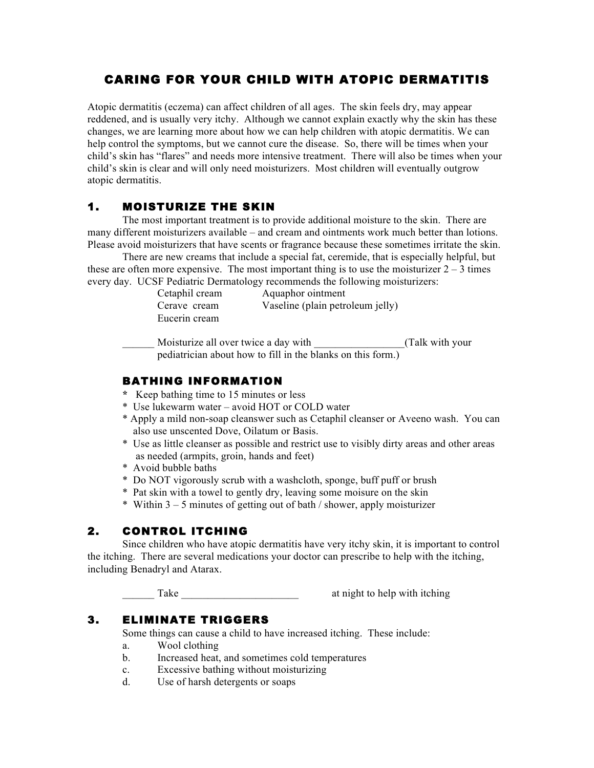# CARING FOR YOUR CHILD WITH ATOPIC DERMATITIS

Atopic dermatitis (eczema) can affect children of all ages. The skin feels dry, may appear reddened, and is usually very itchy. Although we cannot explain exactly why the skin has these changes, we are learning more about how we can help children with atopic dermatitis. We can help control the symptoms, but we cannot cure the disease. So, there will be times when your child's skin has "flares" and needs more intensive treatment. There will also be times when your child's skin is clear and will only need moisturizers. Most children will eventually outgrow atopic dermatitis.

### 1. MOISTURIZE THE SKIN

The most important treatment is to provide additional moisture to the skin. There are many different moisturizers available – and cream and ointments work much better than lotions. Please avoid moisturizers that have scents or fragrance because these sometimes irritate the skin.

There are new creams that include a special fat, ceremide, that is especially helpful, but these are often more expensive. The most important thing is to use the moisturizer  $2 - 3$  times every day. UCSF Pediatric Dermatology recommends the following moisturizers:

| Cetaphil cream | Aquaphor ointment                |
|----------------|----------------------------------|
| Cerave cream   | Vaseline (plain petroleum jelly) |
| Eucerin cream  |                                  |

Moisturize all over twice a day with \_\_\_\_\_\_\_\_\_\_\_\_\_\_\_\_(Talk with your pediatrician about how to fill in the blanks on this form.)

### BATHING INFORMATION

- **\*** Keep bathing time to 15 minutes or less
- \* Use lukewarm water avoid HOT or COLD water
- \* Apply a mild non-soap cleanswer such as Cetaphil cleanser or Aveeno wash. You can also use unscented Dove, Oilatum or Basis.
- \* Use as little cleanser as possible and restrict use to visibly dirty areas and other areas as needed (armpits, groin, hands and feet)
- \* Avoid bubble baths
- \* Do NOT vigorously scrub with a washcloth, sponge, buff puff or brush
- \* Pat skin with a towel to gently dry, leaving some moisure on the skin
- \* Within 3 5 minutes of getting out of bath / shower, apply moisturizer

### 2. CONTROL ITCHING

 Since children who have atopic dermatitis have very itchy skin, it is important to control the itching. There are several medications your doctor can prescribe to help with the itching, including Benadryl and Atarax.

Take at night to help with itching

## 3. ELIMINATE TRIGGERS

Some things can cause a child to have increased itching. These include:

- a. Wool clothing
- b. Increased heat, and sometimes cold temperatures
- c. Excessive bathing without moisturizing
- d. Use of harsh detergents or soaps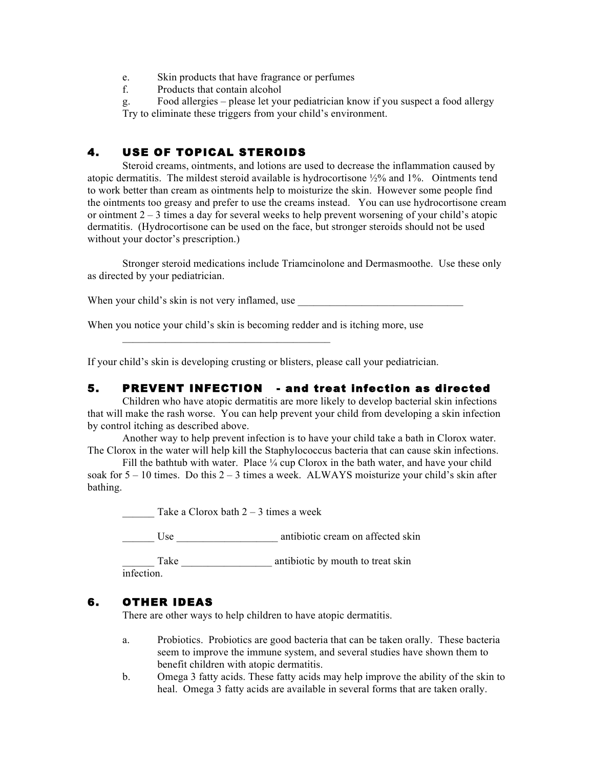- e. Skin products that have fragrance or perfumes
- f. Products that contain alcohol

g. Food allergies – please let your pediatrician know if you suspect a food allergy Try to eliminate these triggers from your child's environment.

## 4. USE OF TOPICAL STEROIDS

Steroid creams, ointments, and lotions are used to decrease the inflammation caused by atopic dermatitis. The mildest steroid available is hydrocortisone ½% and 1%. Ointments tend to work better than cream as ointments help to moisturize the skin. However some people find the ointments too greasy and prefer to use the creams instead. You can use hydrocortisone cream or ointment  $2 - 3$  times a day for several weeks to help prevent worsening of your child's atopic dermatitis. (Hydrocortisone can be used on the face, but stronger steroids should not be used without your doctor's prescription.)

Stronger steroid medications include Triamcinolone and Dermasmoothe. Use these only as directed by your pediatrician.

When your child's skin is not very inflamed, use

When you notice your child's skin is becoming redder and is itching more, use

 $\overline{\phantom{a}}$  , where  $\overline{\phantom{a}}$  , where  $\overline{\phantom{a}}$  ,  $\overline{\phantom{a}}$  ,  $\overline{\phantom{a}}$  ,  $\overline{\phantom{a}}$  ,  $\overline{\phantom{a}}$  ,  $\overline{\phantom{a}}$  ,  $\overline{\phantom{a}}$  ,  $\overline{\phantom{a}}$  ,  $\overline{\phantom{a}}$  ,  $\overline{\phantom{a}}$  ,  $\overline{\phantom{a}}$  ,  $\overline{\phantom{a}}$  ,  $\overline{\phantom{a}}$  ,

If your child's skin is developing crusting or blisters, please call your pediatrician.

#### 5. PREVENT INFECTION - and treat infection as directed

Children who have atopic dermatitis are more likely to develop bacterial skin infections that will make the rash worse. You can help prevent your child from developing a skin infection by control itching as described above.

Another way to help prevent infection is to have your child take a bath in Clorox water. The Clorox in the water will help kill the Staphylococcus bacteria that can cause skin infections.

Fill the bathtub with water. Place  $\frac{1}{4}$  cup Clorox in the bath water, and have your child soak for  $5 - 10$  times. Do this  $2 - 3$  times a week. ALWAYS moisturize your child's skin after bathing.

Take a Clorox bath  $2 - 3$  times a week

Use antibiotic cream on affected skin

\_\_\_\_\_\_ Take \_\_\_\_\_\_\_\_\_\_\_\_\_\_\_\_\_ antibiotic by mouth to treat skin infection.

#### 6. OTHER IDEAS

There are other ways to help children to have atopic dermatitis.

- a. Probiotics. Probiotics are good bacteria that can be taken orally. These bacteria seem to improve the immune system, and several studies have shown them to benefit children with atopic dermatitis.
- b. Omega 3 fatty acids. These fatty acids may help improve the ability of the skin to heal. Omega 3 fatty acids are available in several forms that are taken orally.